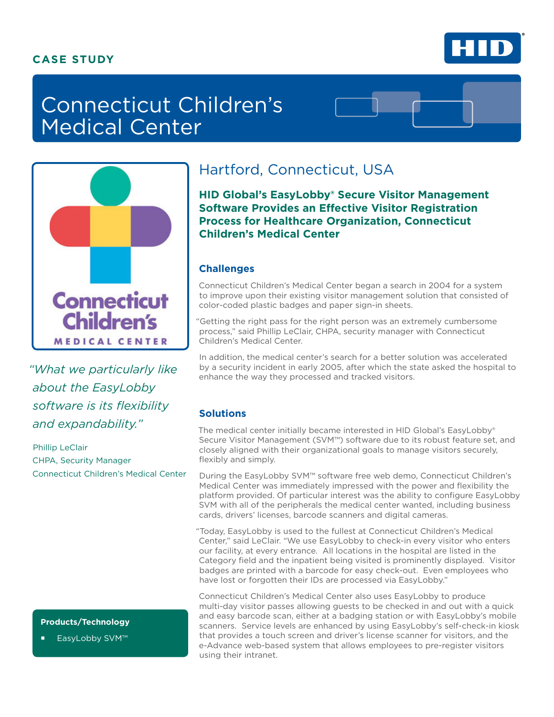### **CASE STUDY**



# Connecticut Children's Medical Center



*"What we particularly like about the EasyLobby software is its flexibility and expandability."* 

Phillip LeClair CHPA, Security Manager Connecticut Children's Medical Center

### **Products/Technology**

EasyLobby SVM™

## Hartford, Connecticut, USA

**HID Global's EasyLobby® Secure Visitor Management Software Provides an Effective Visitor Registration Process for Healthcare Organization, Connecticut Children's Medical Center**

### **Challenges**

Connecticut Children's Medical Center began a search in 2004 for a system to improve upon their existing visitor management solution that consisted of color-coded plastic badges and paper sign-in sheets.

"Getting the right pass for the right person was an extremely cumbersome process," said Phillip LeClair, CHPA, security manager with Connecticut Children's Medical Center.

In addition, the medical center's search for a better solution was accelerated by a security incident in early 2005, after which the state asked the hospital to enhance the way they processed and tracked visitors.

### **Solutions**

The medical center initially became interested in HID Global's EasyLobby® Secure Visitor Management (SVM™) software due to its robust feature set, and closely aligned with their organizational goals to manage visitors securely, flexibly and simply.

During the EasyLobby SVM™ software free web demo, Connecticut Children's Medical Center was immediately impressed with the power and flexibility the platform provided. Of particular interest was the ability to configure EasyLobby SVM with all of the peripherals the medical center wanted, including business cards, drivers' licenses, barcode scanners and digital cameras.

"Today, EasyLobby is used to the fullest at Connecticut Children's Medical Center," said LeClair. "We use EasyLobby to check-in every visitor who enters our facility, at every entrance. All locations in the hospital are listed in the Category field and the inpatient being visited is prominently displayed. Visitor badges are printed with a barcode for easy check-out. Even employees who have lost or forgotten their IDs are processed via EasyLobby."

Connecticut Children's Medical Center also uses EasyLobby to produce multi-day visitor passes allowing guests to be checked in and out with a quick and easy barcode scan, either at a badging station or with EasyLobby's mobile scanners. Service levels are enhanced by using EasyLobby's self-check-in kiosk that provides a touch screen and driver's license scanner for visitors, and the e-Advance web-based system that allows employees to pre-register visitors using their intranet.